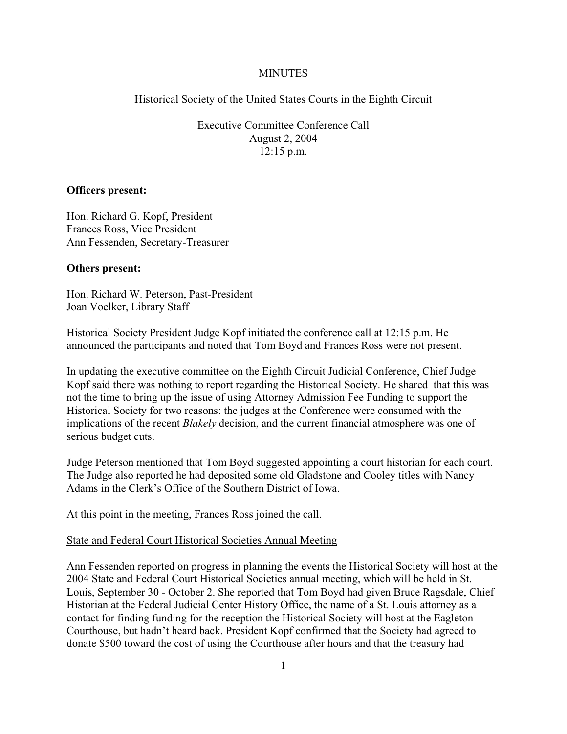## **MINUTES**

Historical Society of the United States Courts in the Eighth Circuit

Executive Committee Conference Call August 2, 2004  $12:15$  p.m.

#### **Officers present:**

Hon. Richard G. Kopf, President Frances Ross, Vice President Ann Fessenden, Secretary-Treasurer

#### **Others present:**

Hon. Richard W. Peterson, Past-President Joan Voelker, Library Staff

Historical Society President Judge Kopf initiated the conference call at 12:15 p.m. He announced the participants and noted that Tom Boyd and Frances Ross were not present.

In updating the executive committee on the Eighth Circuit Judicial Conference, Chief Judge Kopf said there was nothing to report regarding the Historical Society. He shared that this was not the time to bring up the issue of using Attorney Admission Fee Funding to support the Historical Society for two reasons: the judges at the Conference were consumed with the implications of the recent *Blakely* decision, and the current financial atmosphere was one of serious budget cuts.

Judge Peterson mentioned that Tom Boyd suggested appointing a court historian for each court. The Judge also reported he had deposited some old Gladstone and Cooley titles with Nancy Adams in the Clerk's Office of the Southern District of Iowa.

At this point in the meeting, Frances Ross joined the call.

### State and Federal Court Historical Societies Annual Meeting

Ann Fessenden reported on progress in planning the events the Historical Society will host at the 2004 State and Federal Court Historical Societies annual meeting, which will be held in St. Louis, September 30 - October 2. She reported that Tom Boyd had given Bruce Ragsdale, Chief Historian at the Federal Judicial Center History Office, the name of a St. Louis attorney as a contact for finding funding for the reception the Historical Society will host at the Eagleton Courthouse, but hadn't heard back. President Kopf confirmed that the Society had agreed to donate \$500 toward the cost of using the Courthouse after hours and that the treasury had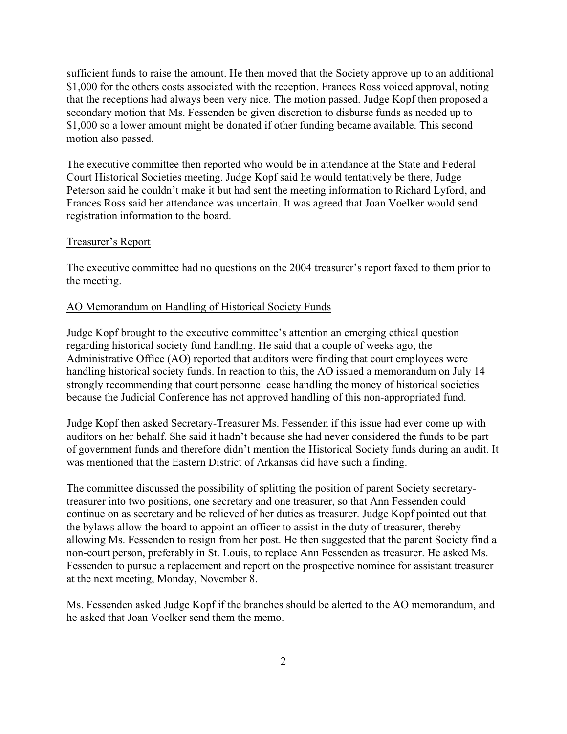sufficient funds to raise the amount. He then moved that the Society approve up to an additional \$1,000 for the others costs associated with the reception. Frances Ross voiced approval, noting that the receptions had always been very nice. The motion passed. Judge Kopf then proposed a secondary motion that Ms. Fessenden be given discretion to disburse funds as needed up to \$1,000 so a lower amount might be donated if other funding became available. This second motion also passed.

The executive committee then reported who would be in attendance at the State and Federal Court Historical Societies meeting. Judge Kopf said he would tentatively be there, Judge Peterson said he couldn't make it but had sent the meeting information to Richard Lyford, and Frances Ross said her attendance was uncertain. It was agreed that Joan Voelker would send registration information to the board.

#### Treasurer's Report

The executive committee had no questions on the 2004 treasurer's report faxed to them prior to the meeting.

#### AO Memorandum on Handling of Historical Society Funds

Judge Kopf brought to the executive committee's attention an emerging ethical question regarding historical society fund handling. He said that a couple of weeks ago, the Administrative Office (AO) reported that auditors were finding that court employees were handling historical society funds. In reaction to this, the AO issued a memorandum on July 14 strongly recommending that court personnel cease handling the money of historical societies because the Judicial Conference has not approved handling of this non-appropriated fund.

Judge Kopf then asked Secretary-Treasurer Ms. Fessenden if this issue had ever come up with auditors on her behalf. She said it hadn't because she had never considered the funds to be part of government funds and therefore didn't mention the Historical Society funds during an audit. It was mentioned that the Eastern District of Arkansas did have such a finding.

The committee discussed the possibility of splitting the position of parent Society secretarytreasurer into two positions, one secretary and one treasurer, so that Ann Fessenden could continue on as secretary and be relieved of her duties as treasurer. Judge Kopf pointed out that the bylaws allow the board to appoint an officer to assist in the duty of treasurer, thereby allowing Ms. Fessenden to resign from her post. He then suggested that the parent Society find a non-court person, preferably in St. Louis, to replace Ann Fessenden as treasurer. He asked Ms. Fessenden to pursue a replacement and report on the prospective nominee for assistant treasurer at the next meeting, Monday, November 8.

Ms. Fessenden asked Judge Kopf if the branches should be alerted to the AO memorandum, and he asked that Joan Voelker send them the memo.